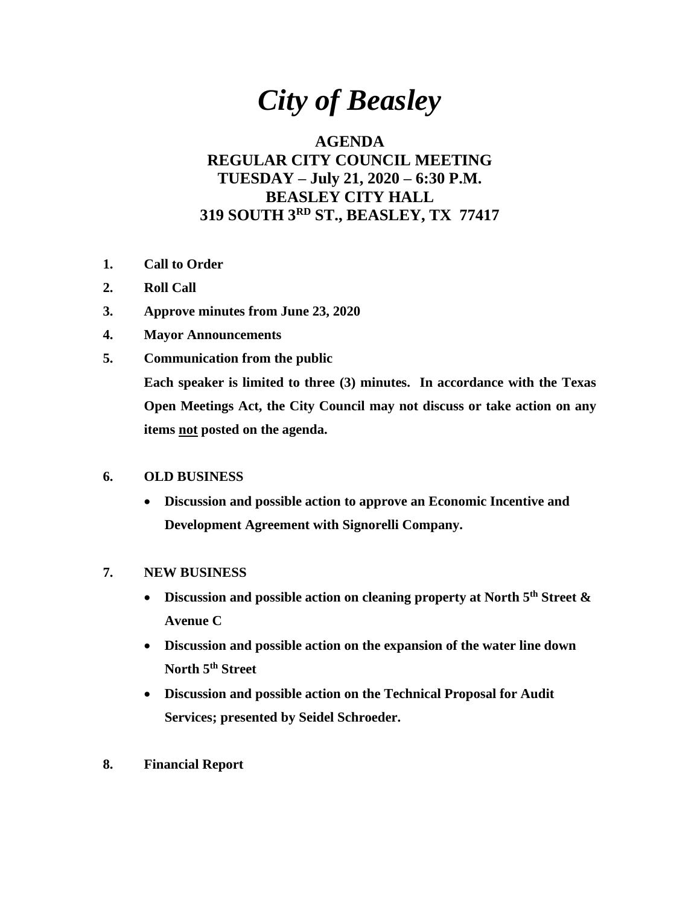# *City of Beasley*

## **AGENDA REGULAR CITY COUNCIL MEETING TUESDAY – July 21, 2020 – 6:30 P.M. BEASLEY CITY HALL 319 SOUTH 3RD ST., BEASLEY, TX 77417**

- **1. Call to Order**
- **2. Roll Call**
- **3. Approve minutes from June 23, 2020**
- **4. Mayor Announcements**
- **5. Communication from the public Each speaker is limited to three (3) minutes. In accordance with the Texas Open Meetings Act, the City Council may not discuss or take action on any items not posted on the agenda.**

### **6. OLD BUSINESS**

• **Discussion and possible action to approve an Economic Incentive and Development Agreement with Signorelli Company.** 

### **7. NEW BUSINESS**

- **Discussion and possible action on cleaning property at North 5th Street & Avenue C**
- **Discussion and possible action on the expansion of the water line down North 5th Street**
- **Discussion and possible action on the Technical Proposal for Audit Services; presented by Seidel Schroeder.**
- **8. Financial Report**